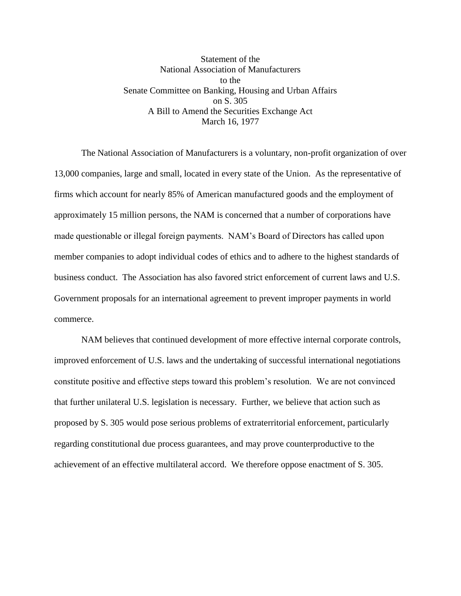Statement of the National Association of Manufacturers to the Senate Committee on Banking, Housing and Urban Affairs on S. 305 A Bill to Amend the Securities Exchange Act March 16, 1977

The National Association of Manufacturers is a voluntary, non-profit organization of over 13,000 companies, large and small, located in every state of the Union. As the representative of firms which account for nearly 85% of American manufactured goods and the employment of approximately 15 million persons, the NAM is concerned that a number of corporations have made questionable or illegal foreign payments. NAM's Board of Directors has called upon member companies to adopt individual codes of ethics and to adhere to the highest standards of business conduct. The Association has also favored strict enforcement of current laws and U.S. Government proposals for an international agreement to prevent improper payments in world commerce.

NAM believes that continued development of more effective internal corporate controls, improved enforcement of U.S. laws and the undertaking of successful international negotiations constitute positive and effective steps toward this problem's resolution. We are not convinced that further unilateral U.S. legislation is necessary. Further, we believe that action such as proposed by S. 305 would pose serious problems of extraterritorial enforcement, particularly regarding constitutional due process guarantees, and may prove counterproductive to the achievement of an effective multilateral accord. We therefore oppose enactment of S. 305.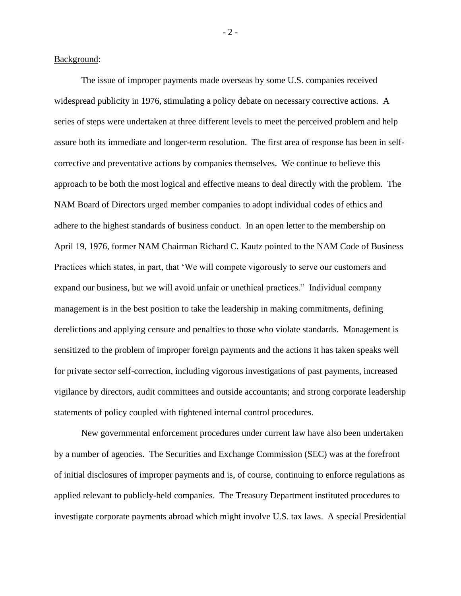Background:

The issue of improper payments made overseas by some U.S. companies received widespread publicity in 1976, stimulating a policy debate on necessary corrective actions. A series of steps were undertaken at three different levels to meet the perceived problem and help assure both its immediate and longer-term resolution. The first area of response has been in selfcorrective and preventative actions by companies themselves. We continue to believe this approach to be both the most logical and effective means to deal directly with the problem. The NAM Board of Directors urged member companies to adopt individual codes of ethics and adhere to the highest standards of business conduct. In an open letter to the membership on April 19, 1976, former NAM Chairman Richard C. Kautz pointed to the NAM Code of Business Practices which states, in part, that 'We will compete vigorously to serve our customers and expand our business, but we will avoid unfair or unethical practices." Individual company management is in the best position to take the leadership in making commitments, defining derelictions and applying censure and penalties to those who violate standards. Management is sensitized to the problem of improper foreign payments and the actions it has taken speaks well for private sector self-correction, including vigorous investigations of past payments, increased vigilance by directors, audit committees and outside accountants; and strong corporate leadership statements of policy coupled with tightened internal control procedures.

New governmental enforcement procedures under current law have also been undertaken by a number of agencies. The Securities and Exchange Commission (SEC) was at the forefront of initial disclosures of improper payments and is, of course, continuing to enforce regulations as applied relevant to publicly-held companies. The Treasury Department instituted procedures to investigate corporate payments abroad which might involve U.S. tax laws. A special Presidential

- 2 -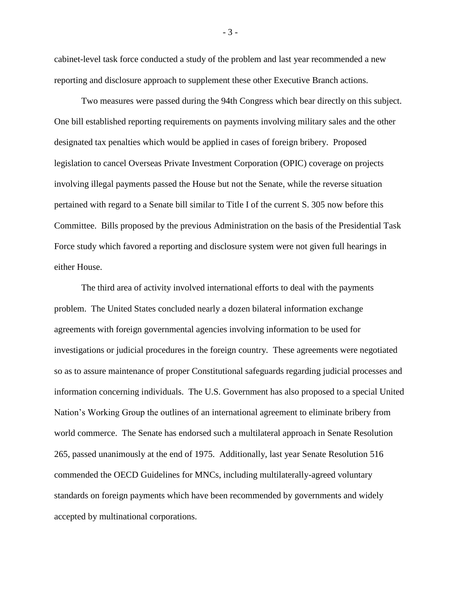cabinet-level task force conducted a study of the problem and last year recommended a new reporting and disclosure approach to supplement these other Executive Branch actions.

Two measures were passed during the 94th Congress which bear directly on this subject. One bill established reporting requirements on payments involving military sales and the other designated tax penalties which would be applied in cases of foreign bribery. Proposed legislation to cancel Overseas Private Investment Corporation (OPIC) coverage on projects involving illegal payments passed the House but not the Senate, while the reverse situation pertained with regard to a Senate bill similar to Title I of the current S. 305 now before this Committee. Bills proposed by the previous Administration on the basis of the Presidential Task Force study which favored a reporting and disclosure system were not given full hearings in either House.

The third area of activity involved international efforts to deal with the payments problem. The United States concluded nearly a dozen bilateral information exchange agreements with foreign governmental agencies involving information to be used for investigations or judicial procedures in the foreign country. These agreements were negotiated so as to assure maintenance of proper Constitutional safeguards regarding judicial processes and information concerning individuals. The U.S. Government has also proposed to a special United Nation's Working Group the outlines of an international agreement to eliminate bribery from world commerce. The Senate has endorsed such a multilateral approach in Senate Resolution 265, passed unanimously at the end of 1975. Additionally, last year Senate Resolution 516 commended the OECD Guidelines for MNCs, including multilaterally-agreed voluntary standards on foreign payments which have been recommended by governments and widely accepted by multinational corporations.

- 3 -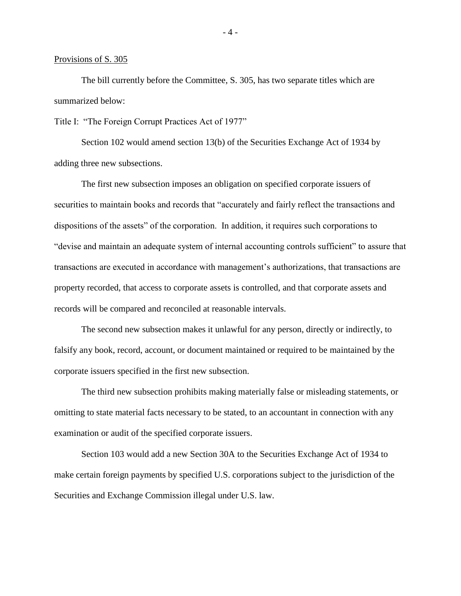## Provisions of S. 305

The bill currently before the Committee, S. 305, has two separate titles which are summarized below:

Title I: "The Foreign Corrupt Practices Act of 1977"

Section 102 would amend section 13(b) of the Securities Exchange Act of 1934 by adding three new subsections.

The first new subsection imposes an obligation on specified corporate issuers of securities to maintain books and records that "accurately and fairly reflect the transactions and dispositions of the assets" of the corporation. In addition, it requires such corporations to "devise and maintain an adequate system of internal accounting controls sufficient" to assure that transactions are executed in accordance with management's authorizations, that transactions are property recorded, that access to corporate assets is controlled, and that corporate assets and records will be compared and reconciled at reasonable intervals.

The second new subsection makes it unlawful for any person, directly or indirectly, to falsify any book, record, account, or document maintained or required to be maintained by the corporate issuers specified in the first new subsection.

The third new subsection prohibits making materially false or misleading statements, or omitting to state material facts necessary to be stated, to an accountant in connection with any examination or audit of the specified corporate issuers.

Section 103 would add a new Section 30A to the Securities Exchange Act of 1934 to make certain foreign payments by specified U.S. corporations subject to the jurisdiction of the Securities and Exchange Commission illegal under U.S. law.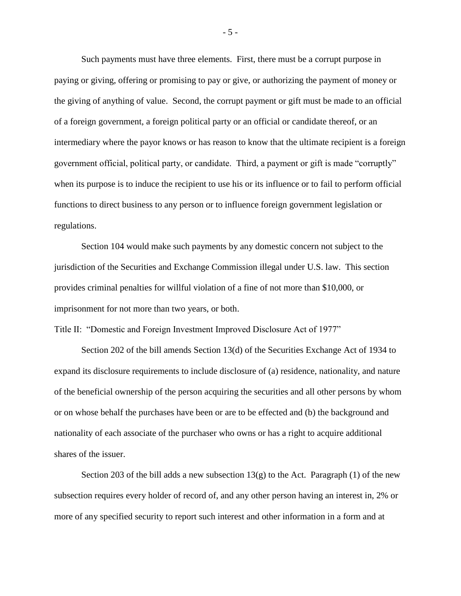Such payments must have three elements. First, there must be a corrupt purpose in paying or giving, offering or promising to pay or give, or authorizing the payment of money or the giving of anything of value. Second, the corrupt payment or gift must be made to an official of a foreign government, a foreign political party or an official or candidate thereof, or an intermediary where the payor knows or has reason to know that the ultimate recipient is a foreign government official, political party, or candidate. Third, a payment or gift is made "corruptly" when its purpose is to induce the recipient to use his or its influence or to fail to perform official functions to direct business to any person or to influence foreign government legislation or regulations.

Section 104 would make such payments by any domestic concern not subject to the jurisdiction of the Securities and Exchange Commission illegal under U.S. law. This section provides criminal penalties for willful violation of a fine of not more than \$10,000, or imprisonment for not more than two years, or both.

Title II: "Domestic and Foreign Investment Improved Disclosure Act of 1977"

Section 202 of the bill amends Section 13(d) of the Securities Exchange Act of 1934 to expand its disclosure requirements to include disclosure of (a) residence, nationality, and nature of the beneficial ownership of the person acquiring the securities and all other persons by whom or on whose behalf the purchases have been or are to be effected and (b) the background and nationality of each associate of the purchaser who owns or has a right to acquire additional shares of the issuer.

Section 203 of the bill adds a new subsection  $13(g)$  to the Act. Paragraph (1) of the new subsection requires every holder of record of, and any other person having an interest in, 2% or more of any specified security to report such interest and other information in a form and at

- 5 -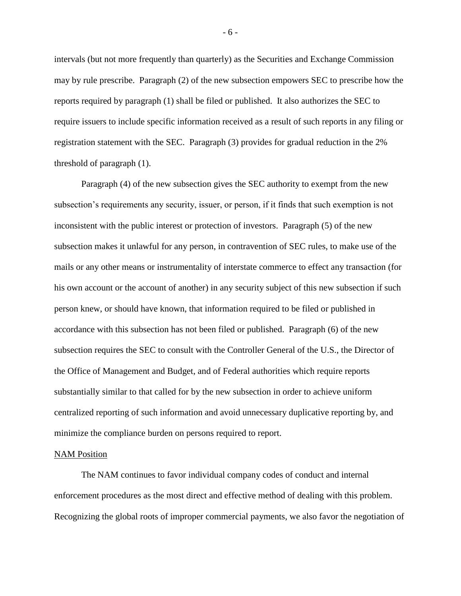intervals (but not more frequently than quarterly) as the Securities and Exchange Commission may by rule prescribe. Paragraph (2) of the new subsection empowers SEC to prescribe how the reports required by paragraph (1) shall be filed or published. It also authorizes the SEC to require issuers to include specific information received as a result of such reports in any filing or registration statement with the SEC. Paragraph (3) provides for gradual reduction in the 2% threshold of paragraph (1).

Paragraph (4) of the new subsection gives the SEC authority to exempt from the new subsection's requirements any security, issuer, or person, if it finds that such exemption is not inconsistent with the public interest or protection of investors. Paragraph (5) of the new subsection makes it unlawful for any person, in contravention of SEC rules, to make use of the mails or any other means or instrumentality of interstate commerce to effect any transaction (for his own account or the account of another) in any security subject of this new subsection if such person knew, or should have known, that information required to be filed or published in accordance with this subsection has not been filed or published. Paragraph (6) of the new subsection requires the SEC to consult with the Controller General of the U.S., the Director of the Office of Management and Budget, and of Federal authorities which require reports substantially similar to that called for by the new subsection in order to achieve uniform centralized reporting of such information and avoid unnecessary duplicative reporting by, and minimize the compliance burden on persons required to report.

# NAM Position

The NAM continues to favor individual company codes of conduct and internal enforcement procedures as the most direct and effective method of dealing with this problem. Recognizing the global roots of improper commercial payments, we also favor the negotiation of

- 6 -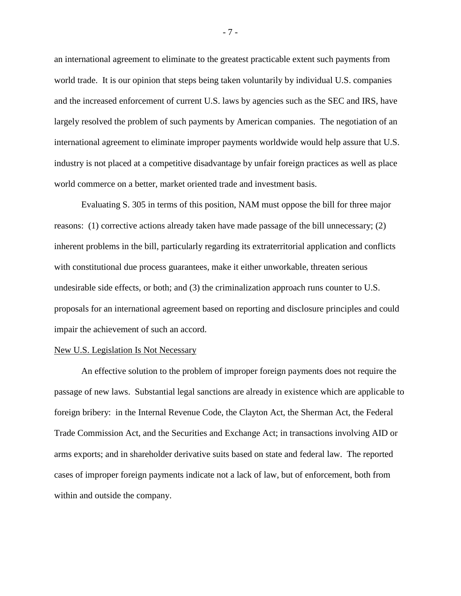an international agreement to eliminate to the greatest practicable extent such payments from world trade. It is our opinion that steps being taken voluntarily by individual U.S. companies and the increased enforcement of current U.S. laws by agencies such as the SEC and IRS, have largely resolved the problem of such payments by American companies. The negotiation of an international agreement to eliminate improper payments worldwide would help assure that U.S. industry is not placed at a competitive disadvantage by unfair foreign practices as well as place world commerce on a better, market oriented trade and investment basis.

Evaluating S. 305 in terms of this position, NAM must oppose the bill for three major reasons: (1) corrective actions already taken have made passage of the bill unnecessary; (2) inherent problems in the bill, particularly regarding its extraterritorial application and conflicts with constitutional due process guarantees, make it either unworkable, threaten serious undesirable side effects, or both; and (3) the criminalization approach runs counter to U.S. proposals for an international agreement based on reporting and disclosure principles and could impair the achievement of such an accord.

### New U.S. Legislation Is Not Necessary

An effective solution to the problem of improper foreign payments does not require the passage of new laws. Substantial legal sanctions are already in existence which are applicable to foreign bribery: in the Internal Revenue Code, the Clayton Act, the Sherman Act, the Federal Trade Commission Act, and the Securities and Exchange Act; in transactions involving AID or arms exports; and in shareholder derivative suits based on state and federal law. The reported cases of improper foreign payments indicate not a lack of law, but of enforcement, both from within and outside the company.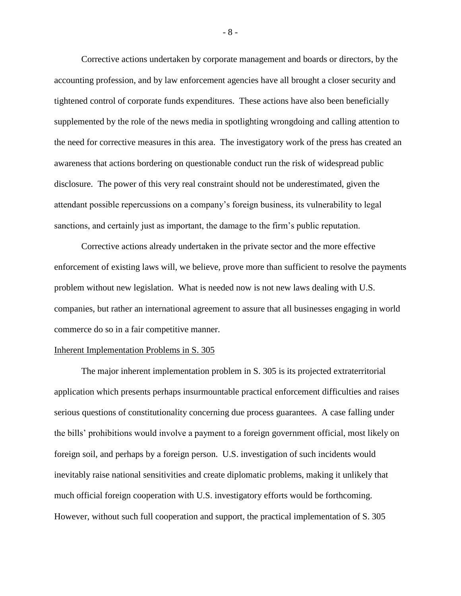Corrective actions undertaken by corporate management and boards or directors, by the accounting profession, and by law enforcement agencies have all brought a closer security and tightened control of corporate funds expenditures. These actions have also been beneficially supplemented by the role of the news media in spotlighting wrongdoing and calling attention to the need for corrective measures in this area. The investigatory work of the press has created an awareness that actions bordering on questionable conduct run the risk of widespread public disclosure. The power of this very real constraint should not be underestimated, given the attendant possible repercussions on a company's foreign business, its vulnerability to legal sanctions, and certainly just as important, the damage to the firm's public reputation.

Corrective actions already undertaken in the private sector and the more effective enforcement of existing laws will, we believe, prove more than sufficient to resolve the payments problem without new legislation. What is needed now is not new laws dealing with U.S. companies, but rather an international agreement to assure that all businesses engaging in world commerce do so in a fair competitive manner.

## Inherent Implementation Problems in S. 305

The major inherent implementation problem in S. 305 is its projected extraterritorial application which presents perhaps insurmountable practical enforcement difficulties and raises serious questions of constitutionality concerning due process guarantees. A case falling under the bills' prohibitions would involve a payment to a foreign government official, most likely on foreign soil, and perhaps by a foreign person. U.S. investigation of such incidents would inevitably raise national sensitivities and create diplomatic problems, making it unlikely that much official foreign cooperation with U.S. investigatory efforts would be forthcoming. However, without such full cooperation and support, the practical implementation of S. 305

- 8 -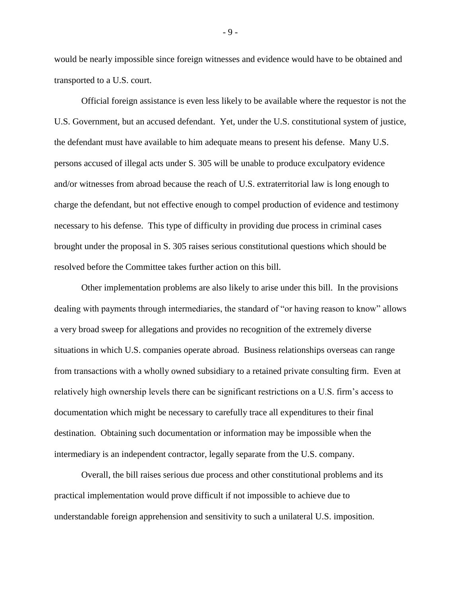would be nearly impossible since foreign witnesses and evidence would have to be obtained and transported to a U.S. court.

Official foreign assistance is even less likely to be available where the requestor is not the U.S. Government, but an accused defendant. Yet, under the U.S. constitutional system of justice, the defendant must have available to him adequate means to present his defense. Many U.S. persons accused of illegal acts under S. 305 will be unable to produce exculpatory evidence and/or witnesses from abroad because the reach of U.S. extraterritorial law is long enough to charge the defendant, but not effective enough to compel production of evidence and testimony necessary to his defense. This type of difficulty in providing due process in criminal cases brought under the proposal in S. 305 raises serious constitutional questions which should be resolved before the Committee takes further action on this bill.

Other implementation problems are also likely to arise under this bill. In the provisions dealing with payments through intermediaries, the standard of "or having reason to know" allows a very broad sweep for allegations and provides no recognition of the extremely diverse situations in which U.S. companies operate abroad. Business relationships overseas can range from transactions with a wholly owned subsidiary to a retained private consulting firm. Even at relatively high ownership levels there can be significant restrictions on a U.S. firm's access to documentation which might be necessary to carefully trace all expenditures to their final destination. Obtaining such documentation or information may be impossible when the intermediary is an independent contractor, legally separate from the U.S. company.

Overall, the bill raises serious due process and other constitutional problems and its practical implementation would prove difficult if not impossible to achieve due to understandable foreign apprehension and sensitivity to such a unilateral U.S. imposition.

- 9 -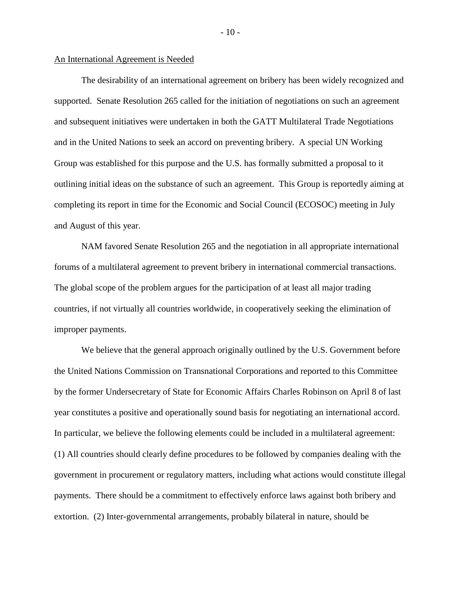#### An International Agreement is Needed

The desirability of an international agreement on bribery has been widely recognized and supported. Senate Resolution 265 called for the initiation of negotiations on such an agreement and subsequent initiatives were undertaken in both the GATT Multilateral Trade Negotiations and in the United Nations to seek an accord on preventing bribery. A special UN Working Group was established for this purpose and the U.S. has formally submitted a proposal to it outlining initial ideas on the substance of such an agreement. This Group is reportedly aiming at completing its report in time for the Economic and Social Council (ECOSOC) meeting in July and August of this year.

NAM favored Senate Resolution 265 and the negotiation in all appropriate international forums of a multilateral agreement to prevent bribery in international commercial transactions. The global scope of the problem argues for the participation of at least all major trading countries, if not virtually all countries worldwide, in cooperatively seeking the elimination of improper payments.

We believe that the general approach originally outlined by the U.S. Government before the United Nations Commission on Transnational Corporations and reported to this Committee by the former Undersecretary of State for Economic Affairs Charles Robinson on April 8 of last year constitutes a positive and operationally sound basis for negotiating an international accord. In particular, we believe the following elements could be included in a multilateral agreement: (1) All countries should clearly define procedures to be followed by companies dealing with the government in procurement or regulatory matters, including what actions would constitute illegal payments. There should be a commitment to effectively enforce laws against both bribery and extortion. (2) Inter-governmental arrangements, probably bilateral in nature, should be

 $-10-$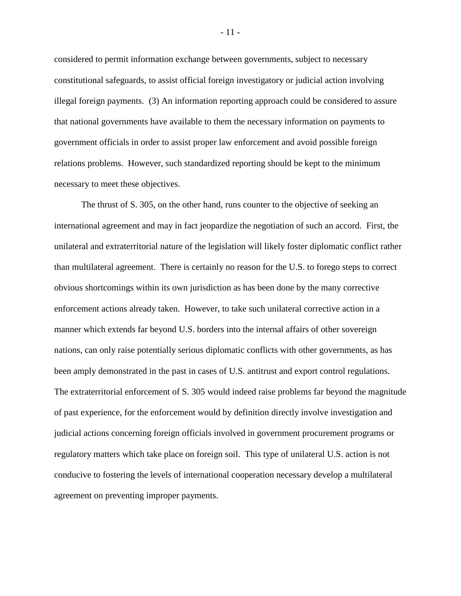considered to permit information exchange between governments, subject to necessary constitutional safeguards, to assist official foreign investigatory or judicial action involving illegal foreign payments. (3) An information reporting approach could be considered to assure that national governments have available to them the necessary information on payments to government officials in order to assist proper law enforcement and avoid possible foreign relations problems. However, such standardized reporting should be kept to the minimum necessary to meet these objectives.

The thrust of S. 305, on the other hand, runs counter to the objective of seeking an international agreement and may in fact jeopardize the negotiation of such an accord. First, the unilateral and extraterritorial nature of the legislation will likely foster diplomatic conflict rather than multilateral agreement. There is certainly no reason for the U.S. to forego steps to correct obvious shortcomings within its own jurisdiction as has been done by the many corrective enforcement actions already taken. However, to take such unilateral corrective action in a manner which extends far beyond U.S. borders into the internal affairs of other sovereign nations, can only raise potentially serious diplomatic conflicts with other governments, as has been amply demonstrated in the past in cases of U.S. antitrust and export control regulations. The extraterritorial enforcement of S. 305 would indeed raise problems far beyond the magnitude of past experience, for the enforcement would by definition directly involve investigation and judicial actions concerning foreign officials involved in government procurement programs or regulatory matters which take place on foreign soil. This type of unilateral U.S. action is not conducive to fostering the levels of international cooperation necessary develop a multilateral agreement on preventing improper payments.

- 11 -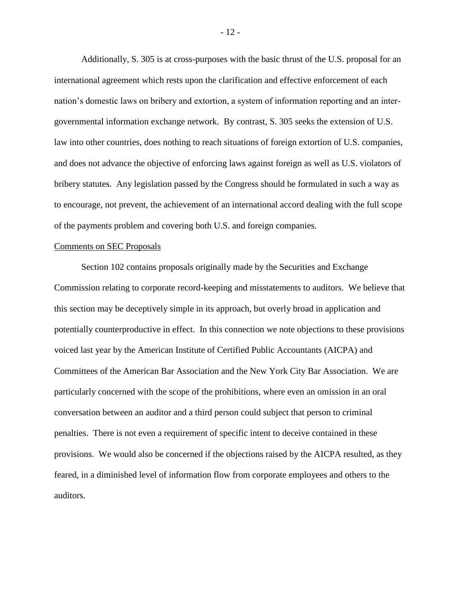Additionally, S. 305 is at cross-purposes with the basic thrust of the U.S. proposal for an international agreement which rests upon the clarification and effective enforcement of each nation's domestic laws on bribery and extortion, a system of information reporting and an intergovernmental information exchange network. By contrast, S. 305 seeks the extension of U.S. law into other countries, does nothing to reach situations of foreign extortion of U.S. companies, and does not advance the objective of enforcing laws against foreign as well as U.S. violators of bribery statutes. Any legislation passed by the Congress should be formulated in such a way as to encourage, not prevent, the achievement of an international accord dealing with the full scope of the payments problem and covering both U.S. and foreign companies.

## Comments on SEC Proposals

Section 102 contains proposals originally made by the Securities and Exchange Commission relating to corporate record-keeping and misstatements to auditors. We believe that this section may be deceptively simple in its approach, but overly broad in application and potentially counterproductive in effect. In this connection we note objections to these provisions voiced last year by the American Institute of Certified Public Accountants (AICPA) and Committees of the American Bar Association and the New York City Bar Association. We are particularly concerned with the scope of the prohibitions, where even an omission in an oral conversation between an auditor and a third person could subject that person to criminal penalties. There is not even a requirement of specific intent to deceive contained in these provisions. We would also be concerned if the objections raised by the AICPA resulted, as they feared, in a diminished level of information flow from corporate employees and others to the auditors.

- 12 -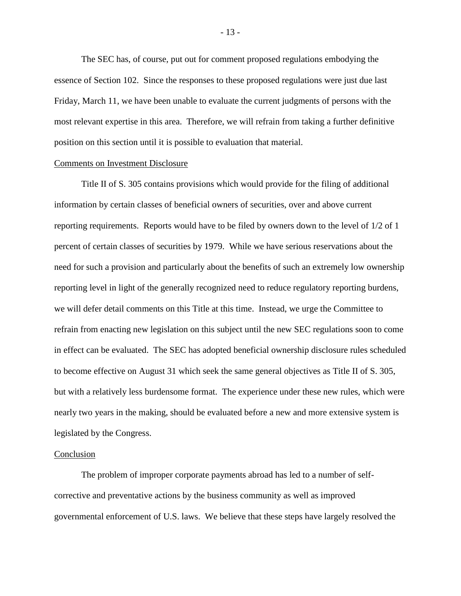The SEC has, of course, put out for comment proposed regulations embodying the essence of Section 102. Since the responses to these proposed regulations were just due last Friday, March 11, we have been unable to evaluate the current judgments of persons with the most relevant expertise in this area. Therefore, we will refrain from taking a further definitive position on this section until it is possible to evaluation that material.

#### Comments on Investment Disclosure

Title II of S. 305 contains provisions which would provide for the filing of additional information by certain classes of beneficial owners of securities, over and above current reporting requirements. Reports would have to be filed by owners down to the level of 1/2 of 1 percent of certain classes of securities by 1979. While we have serious reservations about the need for such a provision and particularly about the benefits of such an extremely low ownership reporting level in light of the generally recognized need to reduce regulatory reporting burdens, we will defer detail comments on this Title at this time. Instead, we urge the Committee to refrain from enacting new legislation on this subject until the new SEC regulations soon to come in effect can be evaluated. The SEC has adopted beneficial ownership disclosure rules scheduled to become effective on August 31 which seek the same general objectives as Title II of S. 305, but with a relatively less burdensome format. The experience under these new rules, which were nearly two years in the making, should be evaluated before a new and more extensive system is legislated by the Congress.

### Conclusion

The problem of improper corporate payments abroad has led to a number of selfcorrective and preventative actions by the business community as well as improved governmental enforcement of U.S. laws. We believe that these steps have largely resolved the

- 13 -